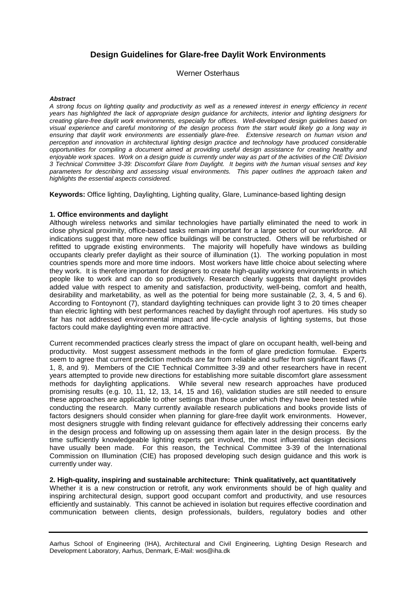# **Design Guidelines for Glare-free Daylit Work Environments**

Werner Osterhaus

#### **Abstract**

A strong focus on lighting quality and productivity as well as a renewed interest in energy efficiency in recent years has highlighted the lack of appropriate design guidance for architects, interior and lighting designers for creating glare-free daylit work environments, especially for offices. Well-developed design guidelines based on visual experience and careful monitoring of the design process from the start would likely go a long way in ensuring that daylit work environments are essentially glare-free. Extensive research on human vision and perception and innovation in architectural lighting design practice and technology have produced considerable opportunities for compiling a document aimed at providing useful design assistance for creating healthy and enjoyable work spaces. Work on a design guide is currently under way as part of the activities of the CIE Division 3 Technical Committee 3-39: Discomfort Glare from Daylight. It begins with the human visual senses and key parameters for describing and assessing visual environments. This paper outlines the approach taken and highlights the essential aspects considered.

**Keywords:** Office lighting, Daylighting, Lighting quality, Glare, Luminance-based lighting design

#### **1. Office environments and daylight**

Although wireless networks and similar technologies have partially eliminated the need to work in close physical proximity, office-based tasks remain important for a large sector of our workforce. All indications suggest that more new office buildings will be constructed. Others will be refurbished or refitted to upgrade existing environments. The majority will hopefully have windows as building occupants clearly prefer daylight as their source of illumination (1). The working population in most countries spends more and more time indoors. Most workers have little choice about selecting where they work. It is therefore important for designers to create high-quality working environments in which people like to work and can do so productively. Research clearly suggests that daylight provides added value with respect to amenity and satisfaction, productivity, well-being, comfort and health, desirability and marketability, as well as the potential for being more sustainable (2, 3, 4, 5 and 6). According to Fontoynont (7), standard daylighting techniques can provide light 3 to 20 times cheaper than electric lighting with best performances reached by daylight through roof apertures. His study so far has not addressed environmental impact and life-cycle analysis of lighting systems, but those factors could make daylighting even more attractive.

Current recommended practices clearly stress the impact of glare on occupant health, well-being and productivity. Most suggest assessment methods in the form of glare prediction formulae. Experts seem to agree that current prediction methods are far from reliable and suffer from significant flaws (7, 1, 8, and 9). Members of the CIE Technical Committee 3-39 and other researchers have in recent years attempted to provide new directions for establishing more suitable discomfort glare assessment methods for daylighting applications. While several new research approaches have produced promising results (e.g. 10, 11, 12, 13, 14, 15 and 16), validation studies are still needed to ensure these approaches are applicable to other settings than those under which they have been tested while conducting the research. Many currently available research publications and books provide lists of factors designers should consider when planning for glare-free daylit work environments. However, most designers struggle with finding relevant guidance for effectively addressing their concerns early in the design process and following up on assessing them again later in the design process. By the time sufficiently knowledgeable lighting experts get involved, the most influential design decisions have usually been made. For this reason, the Technical Committee 3-39 of the International Commission on Illumination (CIE) has proposed developing such design guidance and this work is currently under way.

#### **2. High-quality, inspiring and sustainable architecture: Think qualitatively, act quantitatively**

Whether it is a new construction or retrofit, any work environments should be of high quality and inspiring architectural design, support good occupant comfort and productivity, and use resources efficiently and sustainably. This cannot be achieved in isolation but requires effective coordination and communication between clients, design professionals, builders, regulatory bodies and other

Aarhus School of Engineering (IHA), Architectural and Civil Engineering, Lighting Design Research and Development Laboratory, Aarhus, Denmark, E-Mail: wos@iha.dk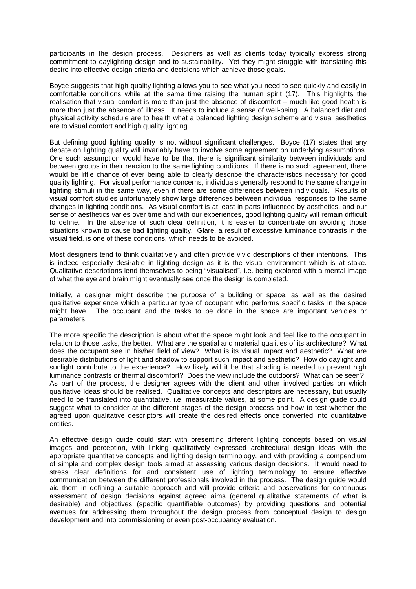participants in the design process. Designers as well as clients today typically express strong commitment to daylighting design and to sustainability. Yet they might struggle with translating this desire into effective design criteria and decisions which achieve those goals.

Boyce suggests that high quality lighting allows you to see what you need to see quickly and easily in comfortable conditions while at the same time raising the human spirit (17). This highlights the realisation that visual comfort is more than just the absence of discomfort – much like good health is more than just the absence of illness. It needs to include a sense of well-being. A balanced diet and physical activity schedule are to health what a balanced lighting design scheme and visual aesthetics are to visual comfort and high quality lighting.

But defining good lighting quality is not without significant challenges. Boyce (17) states that any debate on lighting quality will invariably have to involve some agreement on underlying assumptions. One such assumption would have to be that there is significant similarity between individuals and between groups in their reaction to the same lighting conditions. If there is no such agreement, there would be little chance of ever being able to clearly describe the characteristics necessary for good quality lighting. For visual performance concerns, individuals generally respond to the same change in lighting stimuli in the same way, even if there are some differences between individuals. Results of visual comfort studies unfortunately show large differences between individual responses to the same changes in lighting conditions. As visual comfort is at least in parts influenced by aesthetics, and our sense of aesthetics varies over time and with our experiences, good lighting quality will remain difficult to define. In the absence of such clear definition, it is easier to concentrate on avoiding those situations known to cause bad lighting quality. Glare, a result of excessive luminance contrasts in the visual field, is one of these conditions, which needs to be avoided.

Most designers tend to think qualitatively and often provide vivid descriptions of their intentions. This is indeed especially desirable in lighting design as it is the visual environment which is at stake. Qualitative descriptions lend themselves to being "visualised", i.e. being explored with a mental image of what the eye and brain might eventually see once the design is completed.

Initially, a designer might describe the purpose of a building or space, as well as the desired qualitative experience which a particular type of occupant who performs specific tasks in the space might have. The occupant and the tasks to be done in the space are important vehicles or parameters.

The more specific the description is about what the space might look and feel like to the occupant in relation to those tasks, the better. What are the spatial and material qualities of its architecture? What does the occupant see in his/her field of view? What is its visual impact and aesthetic? What are desirable distributions of light and shadow to support such impact and aesthetic? How do daylight and sunlight contribute to the experience? How likely will it be that shading is needed to prevent high luminance contrasts or thermal discomfort? Does the view include the outdoors? What can be seen? As part of the process, the designer agrees with the client and other involved parties on which qualitative ideas should be realised. Qualitative concepts and descriptors are necessary, but usually need to be translated into quantitative, i.e. measurable values, at some point. A design guide could suggest what to consider at the different stages of the design process and how to test whether the agreed upon qualitative descriptors will create the desired effects once converted into quantitative entities.

An effective design guide could start with presenting different lighting concepts based on visual images and perception, with linking qualitatively expressed architectural design ideas with the appropriate quantitative concepts and lighting design terminology, and with providing a compendium of simple and complex design tools aimed at assessing various design decisions. It would need to stress clear definitions for and consistent use of lighting terminology to ensure effective communication between the different professionals involved in the process. The design guide would aid them in defining a suitable approach and will provide criteria and observations for continuous assessment of design decisions against agreed aims (general qualitative statements of what is desirable) and objectives (specific quantifiable outcomes) by providing questions and potential avenues for addressing them throughout the design process from conceptual design to design development and into commissioning or even post-occupancy evaluation.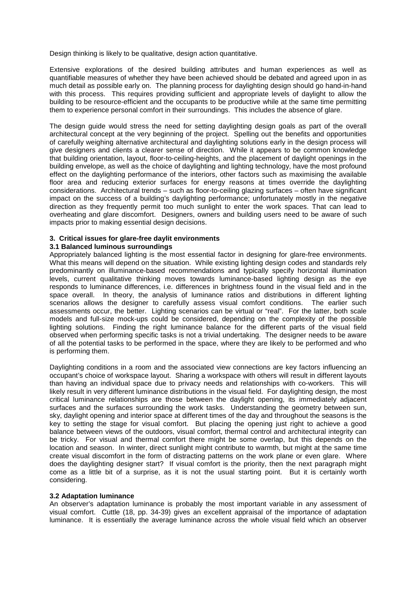Design thinking is likely to be qualitative, design action quantitative.

Extensive explorations of the desired building attributes and human experiences as well as quantifiable measures of whether they have been achieved should be debated and agreed upon in as much detail as possible early on. The planning process for daylighting design should go hand-in-hand with this process. This requires providing sufficient and appropriate levels of daylight to allow the building to be resource-efficient and the occupants to be productive while at the same time permitting them to experience personal comfort in their surroundings. This includes the absence of glare.

The design guide would stress the need for setting daylighting design goals as part of the overall architectural concept at the very beginning of the project. Spelling out the benefits and opportunities of carefully weighing alternative architectural and daylighting solutions early in the design process will give designers and clients a clearer sense of direction. While it appears to be common knowledge that building orientation, layout, floor-to-ceiling-heights, and the placement of daylight openings in the building envelope, as well as the choice of daylighting and lighting technology, have the most profound effect on the daylighting performance of the interiors, other factors such as maximising the available floor area and reducing exterior surfaces for energy reasons at times override the daylighting considerations. Architectural trends – such as floor-to-ceiling glazing surfaces – often have significant impact on the success of a building's daylighting performance; unfortunately mostly in the negative direction as they frequently permit too much sunlight to enter the work spaces. That can lead to overheating and glare discomfort. Designers, owners and building users need to be aware of such impacts prior to making essential design decisions.

#### **3. Critical issues for glare-free daylit environments**

#### **3.1 Balanced luminous surroundings**

Appropriately balanced lighting is the most essential factor in designing for glare-free environments. What this means will depend on the situation. While existing lighting design codes and standards rely predominantly on illuminance-based recommendations and typically specify horizontal illumination levels, current qualitative thinking moves towards luminance-based lighting design as the eye responds to luminance differences, i.e. differences in brightness found in the visual field and in the space overall. In theory, the analysis of luminance ratios and distributions in different lighting scenarios allows the designer to carefully assess visual comfort conditions. The earlier such assessments occur, the better. Lighting scenarios can be virtual or "real". For the latter, both scale models and full-size mock-ups could be considered, depending on the complexity of the possible lighting solutions. Finding the right luminance balance for the different parts of the visual field observed when performing specific tasks is not a trivial undertaking. The designer needs to be aware of all the potential tasks to be performed in the space, where they are likely to be performed and who is performing them.

Daylighting conditions in a room and the associated view connections are key factors influencing an occupant's choice of workspace layout. Sharing a workspace with others will result in different layouts than having an individual space due to privacy needs and relationships with co-workers. This will likely result in very different luminance distributions in the visual field. For daylighting design, the most critical luminance relationships are those between the daylight opening, its immediately adjacent surfaces and the surfaces surrounding the work tasks. Understanding the geometry between sun, sky, daylight opening and interior space at different times of the day and throughout the seasons is the key to setting the stage for visual comfort. But placing the opening just right to achieve a good balance between views of the outdoors, visual comfort, thermal control and architectural integrity can be tricky. For visual and thermal comfort there might be some overlap, but this depends on the location and season. In winter, direct sunlight might contribute to warmth, but might at the same time create visual discomfort in the form of distracting patterns on the work plane or even glare. Where does the daylighting designer start? If visual comfort is the priority, then the next paragraph might come as a little bit of a surprise, as it is not the usual starting point. But it is certainly worth considering.

## **3.2 Adaptation luminance**

An observer's adaptation luminance is probably the most important variable in any assessment of visual comfort. Cuttle (18, pp. 34-39) gives an excellent appraisal of the importance of adaptation luminance. It is essentially the average luminance across the whole visual field which an observer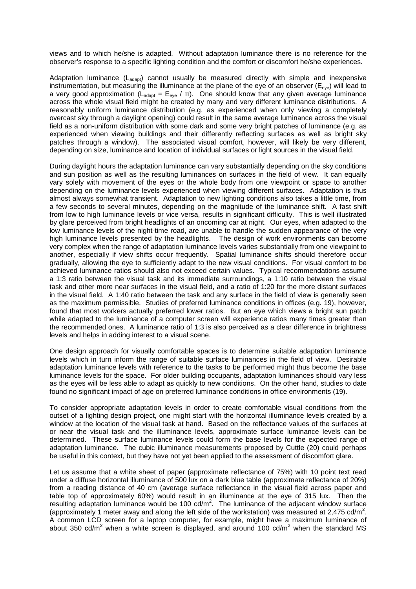views and to which he/she is adapted. Without adaptation luminance there is no reference for the observer's response to a specific lighting condition and the comfort or discomfort he/she experiences.

Adaptation luminance  $(L_{\text{adapt}})$  cannot usually be measured directly with simple and inexpensive instrumentation, but measuring the illuminance at the plane of the eye of an observer ( $E_{eve}$ ) will lead to a very good approximation (L<sub>adapt</sub> = E<sub>eye</sub> / π). One should know that any given average luminance across the whole visual field might be created by many and very different luminance distributions. A reasonably uniform luminance distribution (e.g. as experienced when only viewing a completely overcast sky through a daylight opening) could result in the same average luminance across the visual field as a non-uniform distribution with some dark and some very bright patches of luminance (e.g. as experienced when viewing buildings and their differently reflecting surfaces as well as bright sky patches through a window). The associated visual comfort, however, will likely be very different, depending on size, luminance and location of individual surfaces or light sources in the visual field.

During daylight hours the adaptation luminance can vary substantially depending on the sky conditions and sun position as well as the resulting luminances on surfaces in the field of view. It can equally vary solely with movement of the eyes or the whole body from one viewpoint or space to another depending on the luminance levels experienced when viewing different surfaces. Adaptation is thus almost always somewhat transient. Adaptation to new lighting conditions also takes a little time, from a few seconds to several minutes, depending on the magnitude of the luminance shift. A fast shift from low to high luminance levels or vice versa, results in significant difficulty. This is well illustrated by glare perceived from bright headlights of an oncoming car at night. Our eyes, when adapted to the low luminance levels of the night-time road, are unable to handle the sudden appearance of the very high luminance levels presented by the headlights. The design of work environments can become very complex when the range of adaptation luminance levels varies substantially from one viewpoint to another, especially if view shifts occur frequently. Spatial luminance shifts should therefore occur gradually, allowing the eye to sufficiently adapt to the new visual conditions. For visual comfort to be achieved luminance ratios should also not exceed certain values. Typical recommendations assume a 1:3 ratio between the visual task and its immediate surroundings, a 1:10 ratio between the visual task and other more near surfaces in the visual field, and a ratio of 1:20 for the more distant surfaces in the visual field. A 1:40 ratio between the task and any surface in the field of view is generally seen as the maximum permissible. Studies of preferred luminance conditions in offices (e.g. 19), however, found that most workers actually preferred lower ratios. But an eye which views a bright sun patch while adapted to the luminance of a computer screen will experience ratios many times greater than the recommended ones. A luminance ratio of 1:3 is also perceived as a clear difference in brightness levels and helps in adding interest to a visual scene.

One design approach for visually comfortable spaces is to determine suitable adaptation luminance levels which in turn inform the range of suitable surface luminances in the field of view. Desirable adaptation luminance levels with reference to the tasks to be performed might thus become the base luminance levels for the space. For older building occupants, adaptation luminances should vary less as the eyes will be less able to adapt as quickly to new conditions. On the other hand, studies to date found no significant impact of age on preferred luminance conditions in office environments (19).

To consider appropriate adaptation levels in order to create comfortable visual conditions from the outset of a lighting design project, one might start with the horizontal illuminance levels created by a window at the location of the visual task at hand. Based on the reflectance values of the surfaces at or near the visual task and the illuminance levels, approximate surface luminance levels can be determined. These surface luminance levels could form the base levels for the expected range of adaptation luminance. The cubic illuminance measurements proposed by Cuttle (20) could perhaps be useful in this context, but they have not yet been applied to the assessment of discomfort glare.

Let us assume that a white sheet of paper (approximate reflectance of 75%) with 10 point text read under a diffuse horizontal illuminance of 500 lux on a dark blue table (approximate reflectance of 20%) from a reading distance of 40 cm (average surface reflectance in the visual field across paper and table top of approximately 60%) would result in an illuminance at the eye of 315 lux. Then the resulting adaptation luminance would be 100 cd/m<sup>2</sup>. The luminance of the adjacent window surface (approximately 1 meter away and along the left side of the workstation) was measured at 2,475 cd/m<sup>2</sup>. A common LCD screen for a laptop computer, for example, might have a maximum luminance of about 350 cd/m<sup>2</sup> when a white screen is displayed, and around 100 cd/m<sup>2</sup> when the standard MS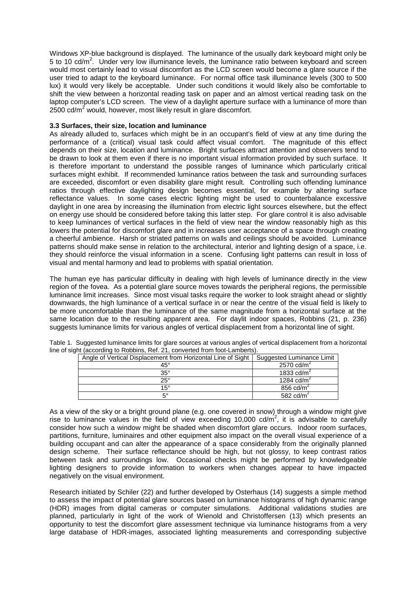Windows XP-blue background is displayed. The luminance of the usually dark keyboard might only be 5 to 10 cd/m<sup>2</sup>. Under very low illuminance levels, the luminance ratio between keyboard and screen would most certainly lead to visual discomfort as the LCD screen would become a glare source if the user tried to adapt to the keyboard luminance. For normal office task illuminance levels (300 to 500 lux) it would very likely be acceptable. Under such conditions it would likely also be comfortable to shift the view between a horizontal reading task on paper and an almost vertical reading task on the laptop computer's LCD screen. The view of a daylight aperture surface with a luminance of more than  $2500 \text{ cd/m}^2$  would, however, most likely result in glare discomfort.

## **3.3 Surfaces, their size, location and luminance**

As already alluded to, surfaces which might be in an occupant's field of view at any time during the performance of a (critical) visual task could affect visual comfort. The magnitude of this effect depends on their size, location and luminance. Bright surfaces attract attention and observers tend to be drawn to look at them even if there is no important visual information provided by such surface. It is therefore important to understand the possible ranges of luminance which particularly critical surfaces might exhibit. If recommended luminance ratios between the task and surrounding surfaces are exceeded, discomfort or even disability glare might result. Controlling such offending luminance ratios through effective daylighting design becomes essential, for example by altering surface reflectance values. In some cases electric lighting might be used to counterbalance excessive daylight in one area by increasing the illumination from electric light sources elsewhere, but the effect on energy use should be considered before taking this latter step. For glare control it is also advisable to keep luminances of vertical surfaces in the field of view near the window reasonably high as this lowers the potential for discomfort glare and in increases user acceptance of a space through creating a cheerful ambience. Harsh or striated patterns on walls and ceilings should be avoided. Luminance patterns should make sense in relation to the architectural, interior and lighting design of a space, i.e. they should reinforce the visual information in a scene. Confusing light patterns can result in loss of visual and mental harmony and lead to problems with spatial orientation.

The human eye has particular difficulty in dealing with high levels of luminance directly in the view region of the fovea. As a potential glare source moves towards the peripheral regions, the permissible luminance limit increases. Since most visual tasks require the worker to look straight ahead or slightly downwards, the high luminance of a vertical surface in or near the centre of the visual field is likely to be more uncomfortable than the luminance of the same magnitude from a horizontal surface at the same location due to the resulting apparent area. For daylit indoor spaces, Robbins (21, p. 236) suggests luminance limits for various angles of vertical displacement from a horizontal line of sight.

| Angle of Vertical Displacement from Horizontal Line of Sight | Suggested Luminance Limit |
|--------------------------------------------------------------|---------------------------|
| 45°                                                          | 2570 cd/m <sup>2</sup>    |
| $35^\circ$                                                   | 1833 cd/ $m2$             |
| $25^\circ$                                                   | 1284 $\text{cd/m}^2$      |
| $15^\circ$                                                   | 856 $cd/m2$               |
| 50                                                           | 582 $\text{cd/m}^2$       |

Table 1. Suggested luminance limits for glare sources at various angles of vertical displacement from a horizontal line of sight (according to Robbins, Ref. 21, converted from foot-Lamberts).

As a view of the sky or a bright ground plane (e.g. one covered in snow) through a window might give rise to luminance values in the field of view exceeding 10,000 cd/ $m^2$ , it is advisable to carefully consider how such a window might be shaded when discomfort glare occurs. Indoor room surfaces, partitions, furniture, luminaires and other equipment also impact on the overall visual experience of a building occupant and can alter the appearance of a space considerably from the originally planned design scheme. Their surface reflectance should be high, but not glossy, to keep contrast ratios between task and surroundings low. Occasional checks might be performed by knowledgeable lighting designers to provide information to workers when changes appear to have impacted negatively on the visual environment.

Research initiated by Schiler (22) and further developed by Osterhaus (14) suggests a simple method to assess the impact of potential glare sources based on luminance histograms of high dynamic range (HDR) images from digital cameras or computer simulations. Additional validations studies are planned, particularly in light of the work of Wienold and Christoffersen (13) which presents an opportunity to test the discomfort glare assessment technique via luminance histograms from a very large database of HDR-images, associated lighting measurements and corresponding subjective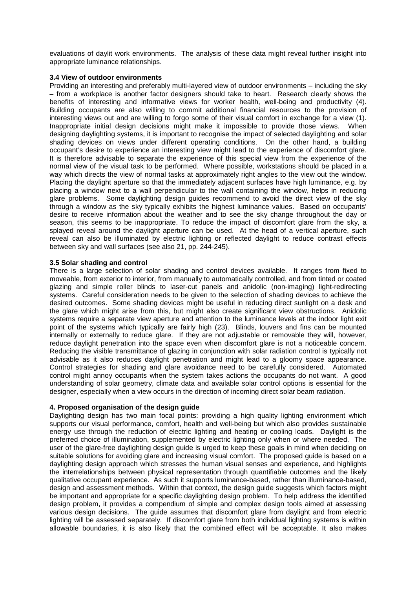evaluations of daylit work environments. The analysis of these data might reveal further insight into appropriate luminance relationships.

## **3.4 View of outdoor environments**

Providing an interesting and preferably multi-layered view of outdoor environments – including the sky – from a workplace is another factor designers should take to heart. Research clearly shows the benefits of interesting and informative views for worker health, well-being and productivity (4). Building occupants are also willing to commit additional financial resources to the provision of interesting views out and are willing to forgo some of their visual comfort in exchange for a view (1). Inappropriate initial design decisions might make it impossible to provide those views. When designing daylighting systems, it is important to recognise the impact of selected daylighting and solar shading devices on views under different operating conditions. On the other hand, a building occupant's desire to experience an interesting view might lead to the experience of discomfort glare. It is therefore advisable to separate the experience of this special view from the experience of the normal view of the visual task to be performed. Where possible, workstations should be placed in a way which directs the view of normal tasks at approximately right angles to the view out the window. Placing the daylight aperture so that the immediately adjacent surfaces have high luminance, e.g. by placing a window next to a wall perpendicular to the wall containing the window, helps in reducing glare problems. Some daylighting design guides recommend to avoid the direct view of the sky through a window as the sky typically exhibits the highest luminance values. Based on occupants' desire to receive information about the weather and to see the sky change throughout the day or season, this seems to be inappropriate. To reduce the impact of discomfort glare from the sky, a splayed reveal around the daylight aperture can be used. At the head of a vertical aperture, such reveal can also be illuminated by electric lighting or reflected daylight to reduce contrast effects between sky and wall surfaces (see also 21, pp. 244-245).

## **3.5 Solar shading and control**

There is a large selection of solar shading and control devices available. It ranges from fixed to moveable, from exterior to interior, from manually to automatically controlled, and from tinted or coated glazing and simple roller blinds to laser-cut panels and anidolic (non-imaging) light-redirecting systems. Careful consideration needs to be given to the selection of shading devices to achieve the desired outcomes. Some shading devices might be useful in reducing direct sunlight on a desk and the glare which might arise from this, but might also create significant view obstructions. Anidolic systems require a separate view aperture and attention to the luminance levels at the indoor light exit point of the systems which typically are fairly high (23). Blinds, louvers and fins can be mounted internally or externally to reduce glare. If they are not adjustable or removable they will, however, reduce daylight penetration into the space even when discomfort glare is not a noticeable concern. Reducing the visible transmittance of glazing in conjunction with solar radiation control is typically not advisable as it also reduces daylight penetration and might lead to a gloomy space appearance. Control strategies for shading and glare avoidance need to be carefully considered. Automated control might annoy occupants when the system takes actions the occupants do not want. A good understanding of solar geometry, climate data and available solar control options is essential for the designer, especially when a view occurs in the direction of incoming direct solar beam radiation.

#### **4. Proposed organisation of the design guide**

Daylighting design has two main focal points: providing a high quality lighting environment which supports our visual performance, comfort, health and well-being but which also provides sustainable energy use through the reduction of electric lighting and heating or cooling loads. Daylight is the preferred choice of illumination, supplemented by electric lighting only when or where needed. The user of the glare-free daylighting design guide is urged to keep these goals in mind when deciding on suitable solutions for avoiding glare and increasing visual comfort. The proposed guide is based on a daylighting design approach which stresses the human visual senses and experience, and highlights the interrelationships between physical representation through quantifiable outcomes and the likely qualitative occupant experience. As such it supports luminance-based, rather than illuminance-based, design and assessment methods. Within that context, the design guide suggests which factors might be important and appropriate for a specific daylighting design problem. To help address the identified design problem, it provides a compendium of simple and complex design tools aimed at assessing various design decisions. The guide assumes that discomfort glare from daylight and from electric lighting will be assessed separately. If discomfort glare from both individual lighting systems is within allowable boundaries, it is also likely that the combined effect will be acceptable. It also makes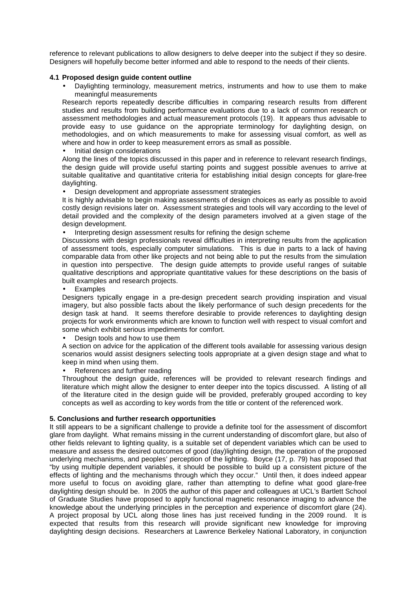reference to relevant publications to allow designers to delve deeper into the subject if they so desire. Designers will hopefully become better informed and able to respond to the needs of their clients.

## **4.1 Proposed design guide content outline**

• Daylighting terminology, measurement metrics, instruments and how to use them to make meaningful measurements

Research reports repeatedly describe difficulties in comparing research results from different studies and results from building performance evaluations due to a lack of common research or assessment methodologies and actual measurement protocols (19). It appears thus advisable to provide easy to use guidance on the appropriate terminology for daylighting design, on methodologies, and on which measurements to make for assessing visual comfort, as well as where and how in order to keep measurement errors as small as possible.

Initial design considerations

Along the lines of the topics discussed in this paper and in reference to relevant research findings, the design guide will provide useful starting points and suggest possible avenues to arrive at suitable qualitative and quantitative criteria for establishing initial design concepts for glare-free daylighting.

• Design development and appropriate assessment strategies

It is highly advisable to begin making assessments of design choices as early as possible to avoid costly design revisions later on. Assessment strategies and tools will vary according to the level of detail provided and the complexity of the design parameters involved at a given stage of the design development.

• Interpreting design assessment results for refining the design scheme

Discussions with design professionals reveal difficulties in interpreting results from the application of assessment tools, especially computer simulations. This is due in parts to a lack of having comparable data from other like projects and not being able to put the results from the simulation in question into perspective. The design guide attempts to provide useful ranges of suitable qualitative descriptions and appropriate quantitative values for these descriptions on the basis of built examples and research projects.

**Examples** 

Designers typically engage in a pre-design precedent search providing inspiration and visual imagery, but also possible facts about the likely performance of such design precedents for the design task at hand. It seems therefore desirable to provide references to daylighting design projects for work environments which are known to function well with respect to visual comfort and some which exhibit serious impediments for comfort.

• Design tools and how to use them

A section on advice for the application of the different tools available for assessing various design scenarios would assist designers selecting tools appropriate at a given design stage and what to keep in mind when using them.

References and further reading

Throughout the design guide, references will be provided to relevant research findings and literature which might allow the designer to enter deeper into the topics discussed. A listing of all of the literature cited in the design guide will be provided, preferably grouped according to key concepts as well as according to key words from the title or content of the referenced work.

## **5. Conclusions and further research opportunities**

It still appears to be a significant challenge to provide a definite tool for the assessment of discomfort glare from daylight. What remains missing in the current understanding of discomfort glare, but also of other fields relevant to lighting quality, is a suitable set of dependent variables which can be used to measure and assess the desired outcomes of good (day)lighting design, the operation of the proposed underlying mechanisms, and peoples' perception of the lighting. Boyce (17, p. 79) has proposed that "by using multiple dependent variables, it should be possible to build up a consistent picture of the effects of lighting and the mechanisms through which they occur." Until then, it does indeed appear more useful to focus on avoiding glare, rather than attempting to define what good glare-free daylighting design should be. In 2005 the author of this paper and colleagues at UCL's Bartlett School of Graduate Studies have proposed to apply functional magnetic resonance imaging to advance the knowledge about the underlying principles in the perception and experience of discomfort glare (24). A project proposal by UCL along those lines has just received funding in the 2009 round. It is expected that results from this research will provide significant new knowledge for improving daylighting design decisions. Researchers at Lawrence Berkeley National Laboratory, in conjunction